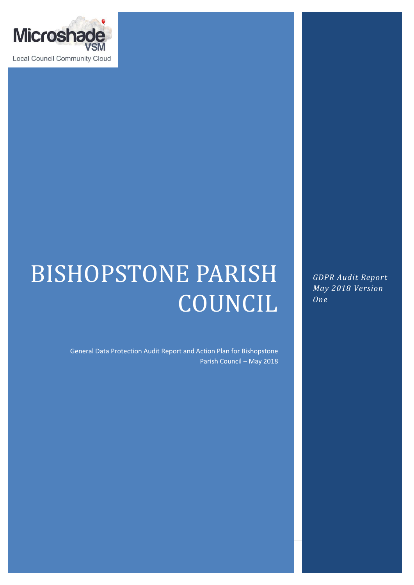

# BISHOPSTONE PARISH COUNCIL

General Data Protection Audit Report and Action Plan for Bishopstone Parish Council – May 2018

*GDPR Audit Report May 2018 Version One*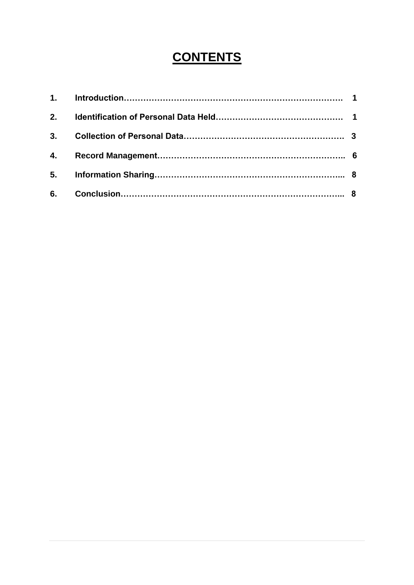# **CONTENTS**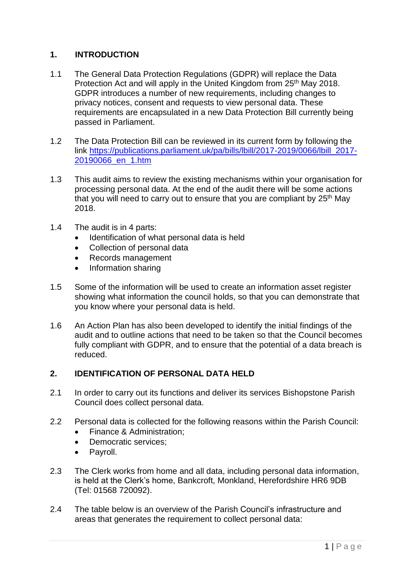# **1. INTRODUCTION**

- 1.1 The General Data Protection Regulations (GDPR) will replace the Data Protection Act and will apply in the United Kingdom from 25<sup>th</sup> May 2018. GDPR introduces a number of new requirements, including changes to privacy notices, consent and requests to view personal data. These requirements are encapsulated in a new Data Protection Bill currently being passed in Parliament.
- 1.2 The Data Protection Bill can be reviewed in its current form by following the link [https://publications.parliament.uk/pa/bills/lbill/2017-2019/0066/lbill\\_2017-](https://publications.parliament.uk/pa/bills/lbill/2017-2019/0066/lbill_2017-20190066_en_1.htm) [20190066\\_en\\_1.htm](https://publications.parliament.uk/pa/bills/lbill/2017-2019/0066/lbill_2017-20190066_en_1.htm)
- 1.3 This audit aims to review the existing mechanisms within your organisation for processing personal data. At the end of the audit there will be some actions that you will need to carry out to ensure that you are compliant by 25th May 2018.
- 1.4 The audit is in 4 parts:
	- Identification of what personal data is held
	- Collection of personal data
	- Records management
	- Information sharing
- 1.5 Some of the information will be used to create an information asset register showing what information the council holds, so that you can demonstrate that you know where your personal data is held.
- 1.6 An Action Plan has also been developed to identify the initial findings of the audit and to outline actions that need to be taken so that the Council becomes fully compliant with GDPR, and to ensure that the potential of a data breach is reduced.

### **2. IDENTIFICATION OF PERSONAL DATA HELD**

- 2.1 In order to carry out its functions and deliver its services Bishopstone Parish Council does collect personal data.
- 2.2 Personal data is collected for the following reasons within the Parish Council:
	- Finance & Administration;
	- Democratic services;
	- Payroll.
- 2.3 The Clerk works from home and all data, including personal data information, is held at the Clerk's home, Bankcroft, Monkland, Herefordshire HR6 9DB (Tel: 01568 720092).
- 2.4 The table below is an overview of the Parish Council's infrastructure and areas that generates the requirement to collect personal data: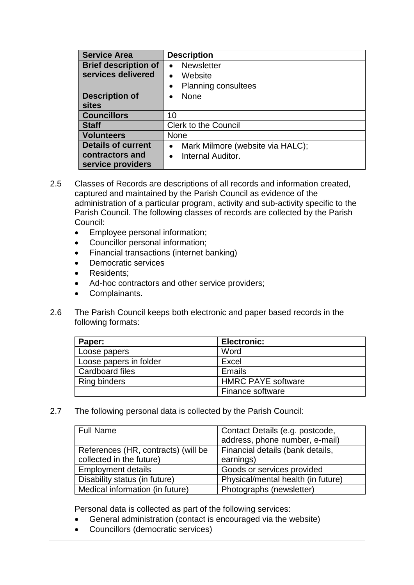| <b>Service Area</b>         | <b>Description</b>                            |  |
|-----------------------------|-----------------------------------------------|--|
| <b>Brief description of</b> | <b>Newsletter</b>                             |  |
| services delivered          | Website                                       |  |
|                             | <b>Planning consultees</b>                    |  |
| <b>Description of</b>       | <b>None</b>                                   |  |
| <b>sites</b>                |                                               |  |
| <b>Councillors</b>          | 10                                            |  |
| <b>Staff</b>                | <b>Clerk to the Council</b>                   |  |
| <b>Volunteers</b>           | <b>None</b>                                   |  |
| <b>Details of current</b>   | Mark Milmore (website via HALC);<br>$\bullet$ |  |
| contractors and             | Internal Auditor.<br>$\bullet$                |  |
| service providers           |                                               |  |

- 2.5 Classes of Records are descriptions of all records and information created, captured and maintained by the Parish Council as evidence of the administration of a particular program, activity and sub-activity specific to the Parish Council. The following classes of records are collected by the Parish Council:
	- Employee personal information;
	- Councillor personal information;
	- Financial transactions (internet banking)
	- Democratic services
	- Residents;
	- Ad-hoc contractors and other service providers;
	- Complainants.
- 2.6 The Parish Council keeps both electronic and paper based records in the following formats:

| Paper:                 | <b>Electronic:</b>        |
|------------------------|---------------------------|
| Loose papers           | Word                      |
| Loose papers in folder | Excel                     |
| Cardboard files        | Emails                    |
| <b>Ring binders</b>    | <b>HMRC PAYE software</b> |
|                        | Finance software          |

2.7 The following personal data is collected by the Parish Council:

| <b>Full Name</b>                    | Contact Details (e.g. postcode,    |
|-------------------------------------|------------------------------------|
|                                     | address, phone number, e-mail)     |
| References (HR, contracts) (will be | Financial details (bank details,   |
| collected in the future)            | earnings)                          |
| <b>Employment details</b>           | Goods or services provided         |
| Disability status (in future)       | Physical/mental health (in future) |
| Medical information (in future)     | Photographs (newsletter)           |

Personal data is collected as part of the following services:

- General administration (contact is encouraged via the website)
- Councillors (democratic services)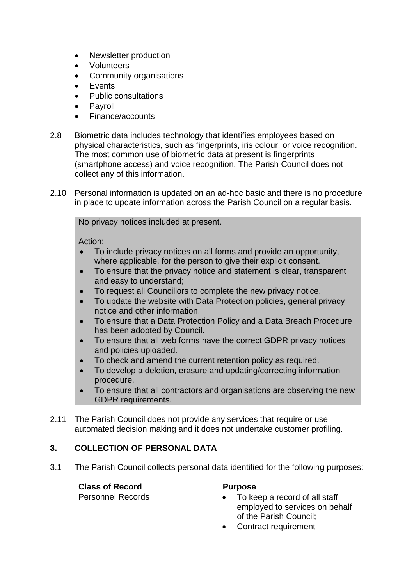- Newsletter production
- Volunteers
- Community organisations
- Events
- Public consultations
- Payroll
- Finance/accounts
- 2.8 Biometric data includes technology that identifies employees based on physical characteristics, such as fingerprints, iris colour, or voice recognition. The most common use of biometric data at present is fingerprints (smartphone access) and voice recognition. The Parish Council does not collect any of this information.
- 2.10 Personal information is updated on an ad-hoc basic and there is no procedure in place to update information across the Parish Council on a regular basis.

No privacy notices included at present.

Action:

- To include privacy notices on all forms and provide an opportunity, where applicable, for the person to give their explicit consent.
- To ensure that the privacy notice and statement is clear, transparent and easy to understand;
- To request all Councillors to complete the new privacy notice.
- To update the website with Data Protection policies, general privacy notice and other information.
- To ensure that a Data Protection Policy and a Data Breach Procedure has been adopted by Council.
- To ensure that all web forms have the correct GDPR privacy notices and policies uploaded.
- To check and amend the current retention policy as required.
- To develop a deletion, erasure and updating/correcting information procedure.
- To ensure that all contractors and organisations are observing the new GDPR requirements.
- 2.11 The Parish Council does not provide any services that require or use automated decision making and it does not undertake customer profiling.

# **3. COLLECTION OF PERSONAL DATA**

3.1 The Parish Council collects personal data identified for the following purposes:

| <b>Class of Record</b> | <b>Purpose</b>                                                                                                    |
|------------------------|-------------------------------------------------------------------------------------------------------------------|
| Personnel Records      | To keep a record of all staff<br>employed to services on behalf<br>of the Parish Council;<br>Contract requirement |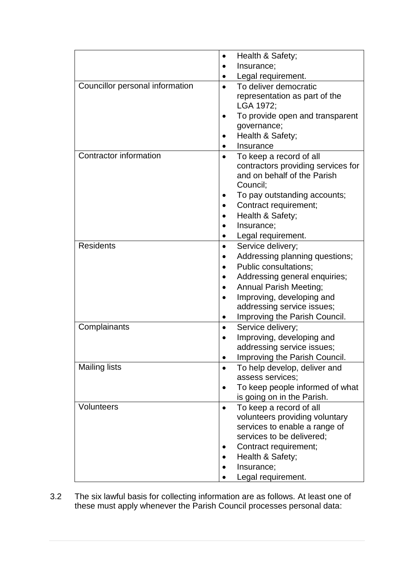|                                 | Health & Safety;<br>$\bullet$                                 |
|---------------------------------|---------------------------------------------------------------|
|                                 | Insurance;                                                    |
|                                 | Legal requirement.                                            |
| Councillor personal information | To deliver democratic<br>$\bullet$                            |
|                                 | representation as part of the                                 |
|                                 | LGA 1972;                                                     |
|                                 | To provide open and transparent                               |
|                                 | governance;                                                   |
|                                 | Health & Safety;                                              |
|                                 | Insurance                                                     |
| Contractor information          | To keep a record of all                                       |
|                                 | contractors providing services for                            |
|                                 | and on behalf of the Parish                                   |
|                                 | Council;                                                      |
|                                 | To pay outstanding accounts;                                  |
|                                 | Contract requirement;                                         |
|                                 | Health & Safety;                                              |
|                                 | Insurance;                                                    |
|                                 | Legal requirement.                                            |
| <b>Residents</b>                | Service delivery;<br>$\bullet$                                |
|                                 | Addressing planning questions;                                |
|                                 | <b>Public consultations;</b>                                  |
|                                 | Addressing general enquiries;                                 |
|                                 | <b>Annual Parish Meeting;</b>                                 |
|                                 | Improving, developing and<br>$\bullet$                        |
|                                 | addressing service issues;                                    |
|                                 | Improving the Parish Council.                                 |
| Complainants                    | Service delivery;<br>$\bullet$                                |
|                                 | Improving, developing and                                     |
|                                 | addressing service issues;                                    |
|                                 | Improving the Parish Council.                                 |
| <b>Mailing lists</b>            | To help develop, deliver and<br>assess services;              |
|                                 |                                                               |
|                                 | To keep people informed of what<br>is going on in the Parish. |
| Volunteers                      | To keep a record of all<br>$\bullet$                          |
|                                 | volunteers providing voluntary                                |
|                                 | services to enable a range of                                 |
|                                 | services to be delivered;                                     |
|                                 | Contract requirement;                                         |
|                                 | Health & Safety;                                              |
|                                 | Insurance;                                                    |
|                                 | Legal requirement.                                            |

3.2 The six lawful basis for collecting information are as follows. At least one of these must apply whenever the Parish Council processes personal data: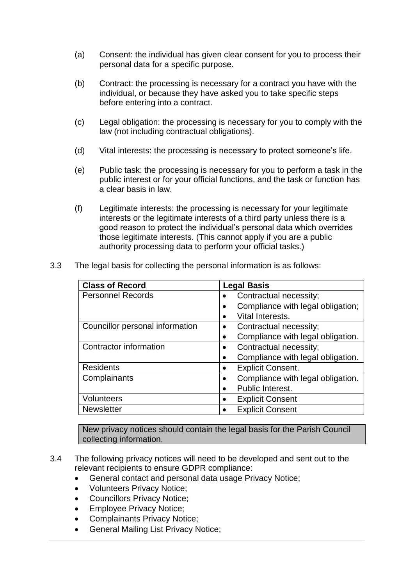- (a) Consent: the individual has given clear consent for you to process their personal data for a specific purpose.
- (b) Contract: the processing is necessary for a contract you have with the individual, or because they have asked you to take specific steps before entering into a contract.
- (c) Legal obligation: the processing is necessary for you to comply with the law (not including contractual obligations).
- (d) Vital interests: the processing is necessary to protect someone's life.
- (e) Public task: the processing is necessary for you to perform a task in the public interest or for your official functions, and the task or function has a clear basis in law.
- (f) Legitimate interests: the processing is necessary for your legitimate interests or the legitimate interests of a third party unless there is a good reason to protect the individual's personal data which overrides those legitimate interests. (This cannot apply if you are a public authority processing data to perform your official tasks.)
- 3.3 The legal basis for collecting the personal information is as follows:

| <b>Class of Record</b>          | <b>Legal Basis</b>                             |
|---------------------------------|------------------------------------------------|
| <b>Personnel Records</b>        | Contractual necessity;                         |
|                                 | Compliance with legal obligation;              |
|                                 | Vital Interests.                               |
| Councillor personal information | Contractual necessity;                         |
|                                 | Compliance with legal obligation.<br>$\bullet$ |
| Contractor information          | Contractual necessity;                         |
|                                 | Compliance with legal obligation.              |
| <b>Residents</b>                | <b>Explicit Consent.</b>                       |
| Complainants                    | Compliance with legal obligation.              |
|                                 | Public Interest.<br>$\bullet$                  |
| <b>Volunteers</b>               | <b>Explicit Consent</b>                        |
| <b>Newsletter</b>               | <b>Explicit Consent</b>                        |

New privacy notices should contain the legal basis for the Parish Council collecting information.

- 3.4 The following privacy notices will need to be developed and sent out to the relevant recipients to ensure GDPR compliance:
	- General contact and personal data usage Privacy Notice;
	- Volunteers Privacy Notice;
	- Councillors Privacy Notice;
	- Employee Privacy Notice;
	- Complainants Privacy Notice;
	- General Mailing List Privacy Notice;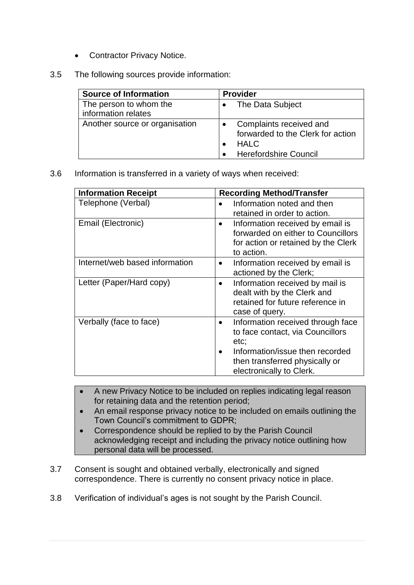- Contractor Privacy Notice.
- 3.5 The following sources provide information:

| <b>Source of Information</b>                  | <b>Provider</b>                                                                                             |
|-----------------------------------------------|-------------------------------------------------------------------------------------------------------------|
| The person to whom the<br>information relates | The Data Subject                                                                                            |
| Another source or organisation                | Complaints received and<br>forwarded to the Clerk for action<br><b>HALC</b><br><b>Herefordshire Council</b> |

3.6 Information is transferred in a variety of ways when received:

| <b>Information Receipt</b>     | <b>Recording Method/Transfer</b>                                                                                                                                             |
|--------------------------------|------------------------------------------------------------------------------------------------------------------------------------------------------------------------------|
| Telephone (Verbal)             | Information noted and then<br>retained in order to action.                                                                                                                   |
| Email (Electronic)             | Information received by email is<br>$\bullet$<br>forwarded on either to Councillors<br>for action or retained by the Clerk<br>to action.                                     |
| Internet/web based information | Information received by email is<br>$\bullet$<br>actioned by the Clerk;                                                                                                      |
| Letter (Paper/Hard copy)       | Information received by mail is<br>$\bullet$<br>dealt with by the Clerk and<br>retained for future reference in<br>case of query.                                            |
| Verbally (face to face)        | Information received through face<br>$\bullet$<br>to face contact, via Councillors<br>etc.<br>Information/issue then recorded<br>$\bullet$<br>then transferred physically or |
|                                | electronically to Clerk.                                                                                                                                                     |

- A new Privacy Notice to be included on replies indicating legal reason for retaining data and the retention period;
- An email response privacy notice to be included on emails outlining the Town Council's commitment to GDPR;
- Correspondence should be replied to by the Parish Council acknowledging receipt and including the privacy notice outlining how personal data will be processed.
- 3.7 Consent is sought and obtained verbally, electronically and signed correspondence. There is currently no consent privacy notice in place.
- 3.8 Verification of individual's ages is not sought by the Parish Council.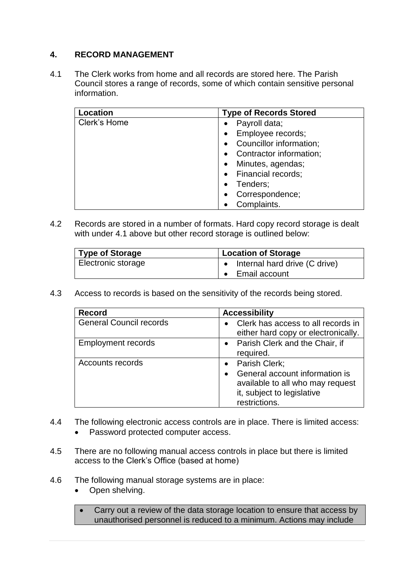## **4. RECORD MANAGEMENT**

4.1 The Clerk works from home and all records are stored here. The Parish Council stores a range of records, some of which contain sensitive personal information.

| Location     | <b>Type of Records Stored</b> |
|--------------|-------------------------------|
| Clerk's Home | Payroll data;                 |
|              | Employee records;             |
|              | Councillor information;       |
|              | Contractor information;       |
|              | Minutes, agendas;             |
|              | • Financial records;          |
|              | Tenders;                      |
|              | Correspondence;               |
|              | Complaints.                   |

4.2 Records are stored in a number of formats. Hard copy record storage is dealt with under 4.1 above but other record storage is outlined below:

| Type of Storage    | <b>Location of Storage</b>              |
|--------------------|-----------------------------------------|
| Electronic storage | $\bullet$ Internal hard drive (C drive) |
|                    | • Email account                         |

4.3 Access to records is based on the sensitivity of the records being stored.

| <b>Record</b>                  | <b>Accessibility</b>                                                                                                                 |
|--------------------------------|--------------------------------------------------------------------------------------------------------------------------------------|
| <b>General Council records</b> | Clerk has access to all records in<br>either hard copy or electronically.                                                            |
| <b>Employment records</b>      | • Parish Clerk and the Chair, if<br>required.                                                                                        |
| Accounts records               | • Parish Clerk;<br>General account information is<br>available to all who may request<br>it, subject to legislative<br>restrictions. |

- 4.4 The following electronic access controls are in place. There is limited access:
	- Password protected computer access.
- 4.5 There are no following manual access controls in place but there is limited access to the Clerk's Office (based at home)
- 4.6 The following manual storage systems are in place:
	- Open shelving.
	- Carry out a review of the data storage location to ensure that access by unauthorised personnel is reduced to a minimum. Actions may include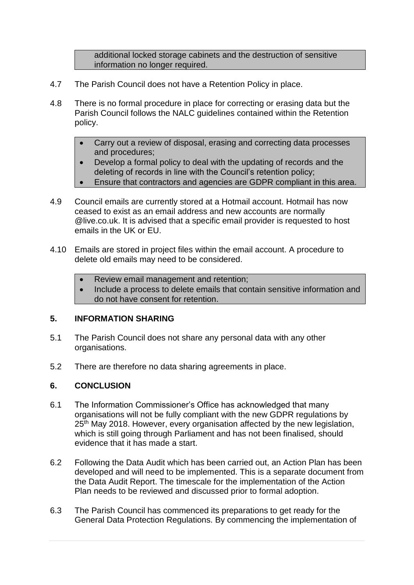additional locked storage cabinets and the destruction of sensitive information no longer required.

- 4.7 The Parish Council does not have a Retention Policy in place.
- 4.8 There is no formal procedure in place for correcting or erasing data but the Parish Council follows the NALC guidelines contained within the Retention policy.
	- Carry out a review of disposal, erasing and correcting data processes and procedures;
	- Develop a formal policy to deal with the updating of records and the deleting of records in line with the Council's retention policy;
	- Ensure that contractors and agencies are GDPR compliant in this area.
- 4.9 Council emails are currently stored at a Hotmail account. Hotmail has now ceased to exist as an email address and new accounts are normally @live.co.uk. It is advised that a specific email provider is requested to host emails in the UK or EU.
- 4.10 Emails are stored in project files within the email account. A procedure to delete old emails may need to be considered.
	- Review email management and retention;
	- Include a process to delete emails that contain sensitive information and do not have consent for retention.

### **5. INFORMATION SHARING**

- 5.1 The Parish Council does not share any personal data with any other organisations.
- 5.2 There are therefore no data sharing agreements in place.

#### **6. CONCLUSION**

- 6.1 The Information Commissioner's Office has acknowledged that many organisations will not be fully compliant with the new GDPR regulations by 25<sup>th</sup> May 2018. However, every organisation affected by the new legislation, which is still going through Parliament and has not been finalised, should evidence that it has made a start.
- 6.2 Following the Data Audit which has been carried out, an Action Plan has been developed and will need to be implemented. This is a separate document from the Data Audit Report. The timescale for the implementation of the Action Plan needs to be reviewed and discussed prior to formal adoption.
- 6.3 The Parish Council has commenced its preparations to get ready for the General Data Protection Regulations. By commencing the implementation of